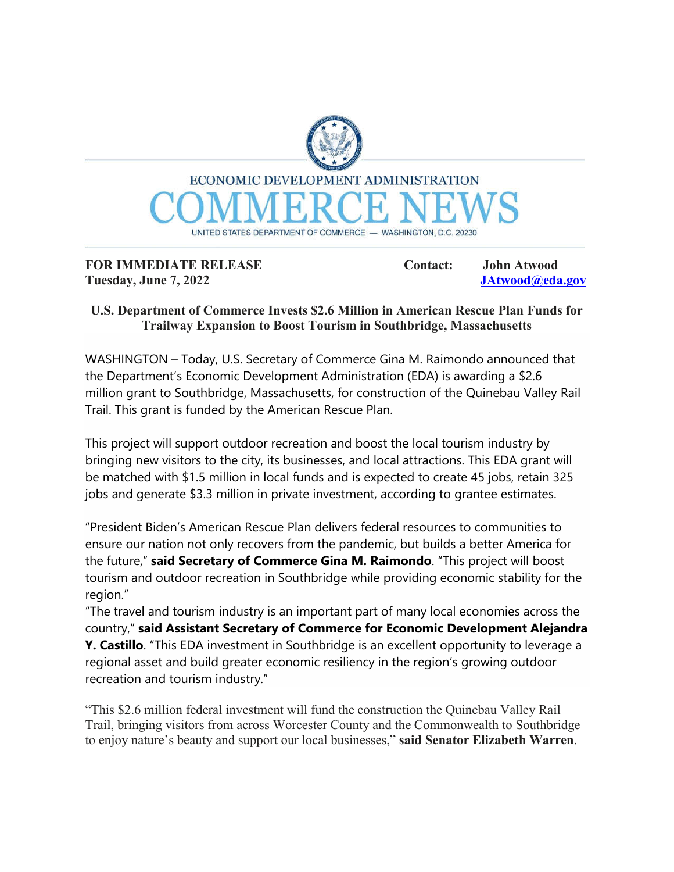

**FOR IMMEDIATE RELEASE Contact:** John Atwood

**Tuesday, June 7, 2022 JAtwood@eda.gov**

## **U.S. Department of Commerce Invests \$2.6 Million in American Rescue Plan Funds for Trailway Expansion to Boost Tourism in Southbridge, Massachusetts**

WASHINGTON – Today, U.S. Secretary of Commerce Gina M. Raimondo announced that the Department's Economic Development Administration (EDA) is awarding a \$2.6 million grant to Southbridge, Massachusetts, for construction of the Quinebau Valley Rail Trail. This grant is funded by the American Rescue Plan.

This project will support outdoor recreation and boost the local tourism industry by bringing new visitors to the city, its businesses, and local attractions. This EDA grant will be matched with \$1.5 million in local funds and is expected to create 45 jobs, retain 325 jobs and generate \$3.3 million in private investment, according to grantee estimates.

"President Biden's American Rescue Plan delivers federal resources to communities to ensure our nation not only recovers from the pandemic, but builds a better America for the future," **said Secretary of Commerce Gina M. Raimondo**. "This project will boost tourism and outdoor recreation in Southbridge while providing economic stability for the region."

"The travel and tourism industry is an important part of many local economies across the country," **said Assistant Secretary of Commerce for Economic Development Alejandra Y. Castillo**. "This EDA investment in Southbridge is an excellent opportunity to leverage a regional asset and build greater economic resiliency in the region's growing outdoor recreation and tourism industry."

"This \$2.6 million federal investment will fund the construction the Quinebau Valley Rail Trail, bringing visitors from across Worcester County and the Commonwealth to Southbridge to enjoy nature's beauty and support our local businesses," **said Senator Elizabeth Warren**.